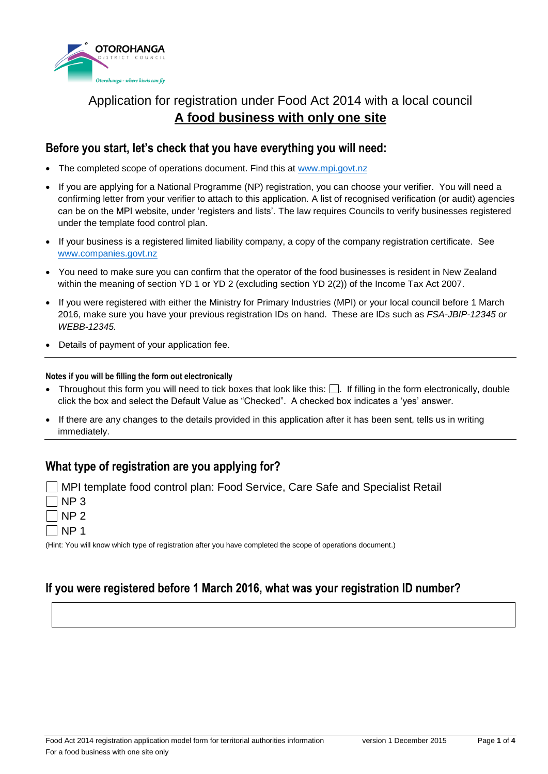

# Application for registration under Food Act 2014 with a local council **A food business with only one site**

### **Before you start, let's check that you have everything you will need:**

- The completed scope of operations document. Find this at [www.mpi.govt.nz](http://www.mpi.govt.nz/)
- If you are applying for a National Programme (NP) registration, you can choose your verifier. You will need a confirming letter from your verifier to attach to this application. A list of recognised verification (or audit) agencies can be on the MPI website, under 'registers and lists'. The law requires Councils to verify businesses registered under the template food control plan.
- If your business is a registered limited liability company, a copy of the company registration certificate. See [www.companies.govt.nz](http://www.companies.govt.nz/)
- You need to make sure you can confirm that the operator of the food businesses is resident in New Zealand within the meaning of section YD 1 or YD 2 (excluding section YD 2(2)) of the Income Tax Act 2007.
- If you were registered with either the Ministry for Primary Industries (MPI) or your local council before 1 March 2016, make sure you have your previous registration IDs on hand. These are IDs such as *FSA-JBIP-12345 or WEBB-12345.*
- Details of payment of your application fee.

#### **Notes if you will be filling the form out electronically**

- Throughout this form you will need to tick boxes that look like this:  $\Box$ . If filling in the form electronically, double click the box and select the Default Value as "Checked". A checked box indicates a 'yes' answer.
- If there are any changes to the details provided in this application after it has been sent, tells us in writing immediately.

## **What type of registration are you applying for?**

- MPI template food control plan: Food Service, Care Safe and Specialist Retail
- $7$  NP 3
- $\neg$  NP 2
- $\sqcap$  NP 1

(Hint: You will know which type of registration after you have completed the scope of operations document.)

# **If you were registered before 1 March 2016, what was your registration ID number?**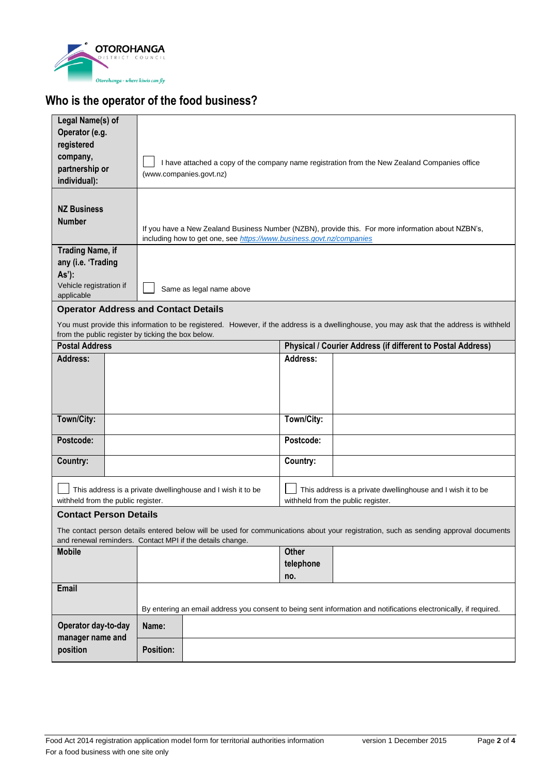

# **Who is the operator of the food business?**

| Legal Name(s) of                                                                                                  |                                                                      |            |                                                                                                                                          |  |  |  |
|-------------------------------------------------------------------------------------------------------------------|----------------------------------------------------------------------|------------|------------------------------------------------------------------------------------------------------------------------------------------|--|--|--|
| Operator (e.g.                                                                                                    |                                                                      |            |                                                                                                                                          |  |  |  |
| registered                                                                                                        |                                                                      |            |                                                                                                                                          |  |  |  |
| company,                                                                                                          |                                                                      |            |                                                                                                                                          |  |  |  |
| partnership or                                                                                                    |                                                                      |            | I have attached a copy of the company name registration from the New Zealand Companies office                                            |  |  |  |
| individual):                                                                                                      | (www.companies.govt.nz)                                              |            |                                                                                                                                          |  |  |  |
|                                                                                                                   |                                                                      |            |                                                                                                                                          |  |  |  |
| <b>NZ Business</b>                                                                                                |                                                                      |            |                                                                                                                                          |  |  |  |
| <b>Number</b>                                                                                                     |                                                                      |            |                                                                                                                                          |  |  |  |
|                                                                                                                   |                                                                      |            | If you have a New Zealand Business Number (NZBN), provide this. For more information about NZBN's,                                       |  |  |  |
|                                                                                                                   | including how to get one, see https://www.business.govt.nz/companies |            |                                                                                                                                          |  |  |  |
| <b>Trading Name, if</b>                                                                                           |                                                                      |            |                                                                                                                                          |  |  |  |
| any (i.e. 'Trading                                                                                                |                                                                      |            |                                                                                                                                          |  |  |  |
| As'):                                                                                                             |                                                                      |            |                                                                                                                                          |  |  |  |
| Vehicle registration if                                                                                           | Same as legal name above                                             |            |                                                                                                                                          |  |  |  |
| applicable                                                                                                        |                                                                      |            |                                                                                                                                          |  |  |  |
|                                                                                                                   | <b>Operator Address and Contact Details</b>                          |            |                                                                                                                                          |  |  |  |
|                                                                                                                   |                                                                      |            | You must provide this information to be registered. However, if the address is a dwellinghouse, you may ask that the address is withheld |  |  |  |
| from the public register by ticking the box below.                                                                |                                                                      |            |                                                                                                                                          |  |  |  |
| <b>Postal Address</b>                                                                                             |                                                                      |            | Physical / Courier Address (if different to Postal Address)                                                                              |  |  |  |
| <b>Address:</b>                                                                                                   |                                                                      | Address:   |                                                                                                                                          |  |  |  |
|                                                                                                                   |                                                                      |            |                                                                                                                                          |  |  |  |
|                                                                                                                   |                                                                      |            |                                                                                                                                          |  |  |  |
|                                                                                                                   |                                                                      |            |                                                                                                                                          |  |  |  |
|                                                                                                                   |                                                                      |            |                                                                                                                                          |  |  |  |
| Town/City:                                                                                                        |                                                                      | Town/City: |                                                                                                                                          |  |  |  |
| Postcode:                                                                                                         |                                                                      | Postcode:  |                                                                                                                                          |  |  |  |
|                                                                                                                   |                                                                      |            |                                                                                                                                          |  |  |  |
| Country:                                                                                                          |                                                                      | Country:   |                                                                                                                                          |  |  |  |
|                                                                                                                   |                                                                      |            |                                                                                                                                          |  |  |  |
|                                                                                                                   |                                                                      |            |                                                                                                                                          |  |  |  |
| withheld from the public register.                                                                                | This address is a private dwellinghouse and I wish it to be          |            | This address is a private dwellinghouse and I wish it to be<br>withheld from the public register.                                        |  |  |  |
|                                                                                                                   |                                                                      |            |                                                                                                                                          |  |  |  |
| <b>Contact Person Details</b>                                                                                     |                                                                      |            |                                                                                                                                          |  |  |  |
|                                                                                                                   |                                                                      |            | The contact person details entered below will be used for communications about your registration, such as sending approval documents     |  |  |  |
| and renewal reminders. Contact MPI if the details change.                                                         |                                                                      |            |                                                                                                                                          |  |  |  |
| <b>Mobile</b>                                                                                                     |                                                                      | Other      |                                                                                                                                          |  |  |  |
|                                                                                                                   |                                                                      | telephone  |                                                                                                                                          |  |  |  |
|                                                                                                                   |                                                                      | no.        |                                                                                                                                          |  |  |  |
| Email                                                                                                             |                                                                      |            |                                                                                                                                          |  |  |  |
| By entering an email address you consent to being sent information and notifications electronically, if required. |                                                                      |            |                                                                                                                                          |  |  |  |
|                                                                                                                   |                                                                      |            |                                                                                                                                          |  |  |  |
| Operator day-to-day                                                                                               | Name:                                                                |            |                                                                                                                                          |  |  |  |
| manager name and                                                                                                  |                                                                      |            |                                                                                                                                          |  |  |  |
| position                                                                                                          | <b>Position:</b>                                                     |            |                                                                                                                                          |  |  |  |
|                                                                                                                   |                                                                      |            |                                                                                                                                          |  |  |  |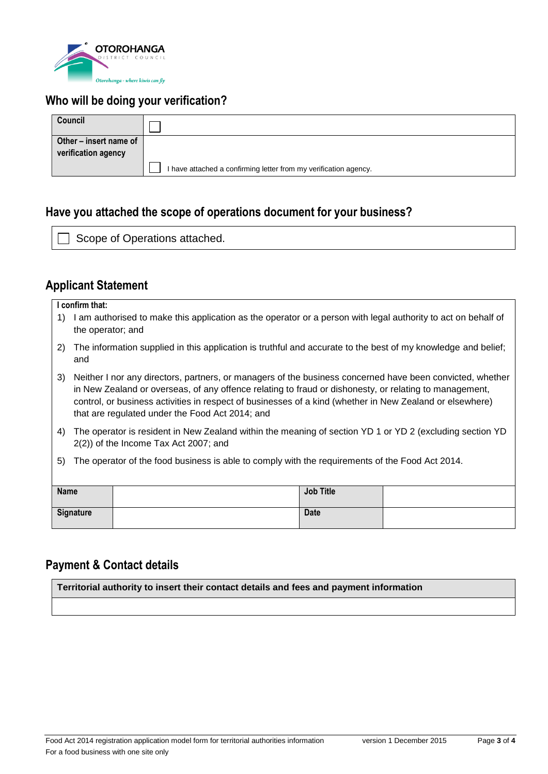

# **Who will be doing your verification?**

| Council                |                                                                  |  |
|------------------------|------------------------------------------------------------------|--|
| Other – insert name of |                                                                  |  |
| verification agency    |                                                                  |  |
|                        | I have attached a confirming letter from my verification agency. |  |

# **Have you attached the scope of operations document for your business?**

Scope of Operations attached.

## **Applicant Statement**

| I confirm that: |  |
|-----------------|--|
|-----------------|--|

- 1) I am authorised to make this application as the operator or a person with legal authority to act on behalf of the operator; and
- 2) The information supplied in this application is truthful and accurate to the best of my knowledge and belief; and
- 3) Neither I nor any directors, partners, or managers of the business concerned have been convicted, whether in New Zealand or overseas, of any offence relating to fraud or dishonesty, or relating to management, control, or business activities in respect of businesses of a kind (whether in New Zealand or elsewhere) that are regulated under the Food Act 2014; and
- 4) The operator is resident in New Zealand within the meaning of section YD 1 or YD 2 (excluding section YD 2(2)) of the Income Tax Act 2007; and
- 5) The operator of the food business is able to comply with the requirements of the Food Act 2014.

| <b>Name</b> | <b>Job Title</b> |  |
|-------------|------------------|--|
| Signature   | <b>Date</b>      |  |

## **Payment & Contact details**

**Territorial authority to insert their contact details and fees and payment information**